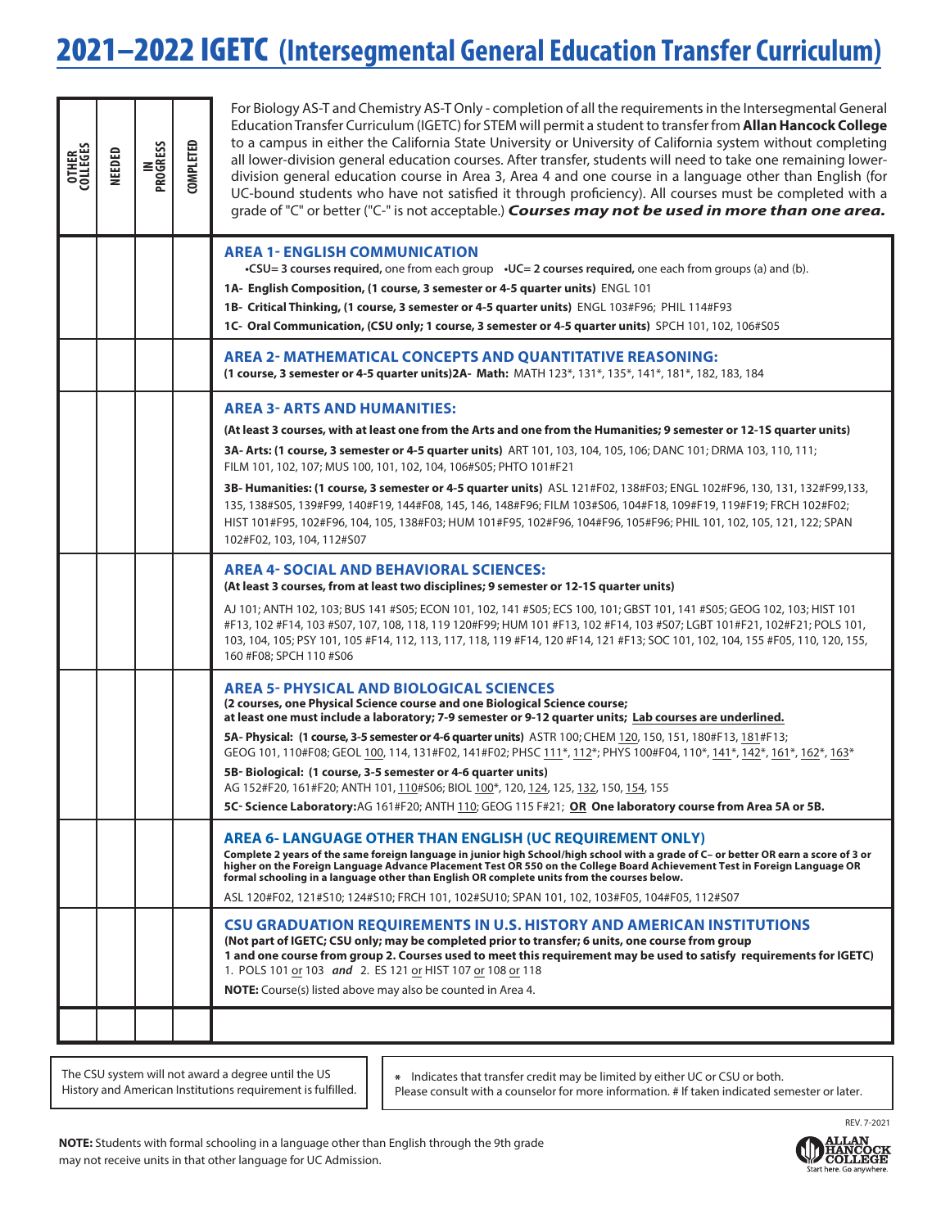## 2021–2022 IGETC **(Intersegmental General Education Transfer Curriculum)**

| <b>OTHER</b><br>COLLEGES | <b>NEEDED</b> | <b>IN<br/>PROGRESS</b> | <b>COMPLETED</b> | For Biology AS-T and Chemistry AS-T Only - completion of all the requirements in the Intersegmental General<br>Education Transfer Curriculum (IGETC) for STEM will permit a student to transfer from <b>Allan Hancock College</b><br>to a campus in either the California State University or University of California system without completing<br>all lower-division general education courses. After transfer, students will need to take one remaining lower-<br>division general education course in Area 3, Area 4 and one course in a language other than English (for<br>UC-bound students who have not satisfied it through proficiency). All courses must be completed with a<br>grade of "C" or better ("C-" is not acceptable.) <b>Courses may not be used in more than one area.</b> |
|--------------------------|---------------|------------------------|------------------|---------------------------------------------------------------------------------------------------------------------------------------------------------------------------------------------------------------------------------------------------------------------------------------------------------------------------------------------------------------------------------------------------------------------------------------------------------------------------------------------------------------------------------------------------------------------------------------------------------------------------------------------------------------------------------------------------------------------------------------------------------------------------------------------------|
|                          |               |                        |                  | <b>AREA 1- ENGLISH COMMUNICATION</b><br>•CSU=3 courses required, one from each group $\cdot$ UC=2 courses required, one each from groups (a) and (b).<br>1A- English Composition, (1 course, 3 semester or 4-5 quarter units) ENGL 101<br>1B- Critical Thinking, (1 course, 3 semester or 4-5 quarter units) ENGL 103#F96; PHIL 114#F93<br>1C- Oral Communication, (CSU only; 1 course, 3 semester or 4-5 quarter units) SPCH 101, 102, 106#S05                                                                                                                                                                                                                                                                                                                                                   |
|                          |               |                        |                  | <b>AREA 2- MATHEMATICAL CONCEPTS AND QUANTITATIVE REASONING:</b><br>(1 course, 3 semester or 4-5 quarter units) 2A- Math: MATH 123*, 131*, 135*, 141*, 181*, 182, 183, 184                                                                                                                                                                                                                                                                                                                                                                                                                                                                                                                                                                                                                        |
|                          |               |                        |                  | <b>AREA 3- ARTS AND HUMANITIES:</b><br>(At least 3 courses, with at least one from the Arts and one from the Humanities; 9 semester or 12-15 quarter units)<br>3A- Arts: (1 course, 3 semester or 4-5 quarter units) ART 101, 103, 104, 105, 106; DANC 101; DRMA 103, 110, 111;<br>FILM 101, 102, 107; MUS 100, 101, 102, 104, 106#S05; PHTO 101#F21<br>3B- Humanities: (1 course, 3 semester or 4-5 quarter units) ASL 121#F02, 138#F03; ENGL 102#F96, 130, 131, 132#F99,133,<br>135, 138#S05, 139#F99, 140#F19, 144#F08, 145, 146, 148#F96; FILM 103#S06, 104#F18, 109#F19, 119#F19; FRCH 102#F02;<br>HIST 101#F95, 102#F96, 104, 105, 138#F03; HUM 101#F95, 102#F96, 104#F96, 105#F96; PHIL 101, 102, 105, 121, 122; SPAN<br>102#F02, 103, 104, 112#S07                                        |
|                          |               |                        |                  | AREA 4- SOCIAL AND BEHAVIORAL SCIENCES:<br>(At least 3 courses, from at least two disciplines; 9 semester or 12-1S quarter units)<br>AJ 101; ANTH 102, 103; BUS 141 #S05; ECON 101, 102, 141 #S05; ECS 100, 101; GBST 101, 141 #S05; GEOG 102, 103; HIST 101<br>#F13, 102 #F14, 103 #S07, 107, 108, 118, 119 120#F99; HUM 101 #F13, 102 #F14, 103 #S07; LGBT 101#F21, 102#F21; POLS 101,<br>103, 104, 105; PSY 101, 105 #F14, 112, 113, 117, 118, 119 #F14, 120 #F14, 121 #F13; SOC 101, 102, 104, 155 #F05, 110, 120, 155,<br>160 #F08; SPCH 110 #S06                                                                                                                                                                                                                                            |
|                          |               |                        |                  | <b>AREA 5- PHYSICAL AND BIOLOGICAL SCIENCES</b><br>(2 courses, one Physical Science course and one Biological Science course;<br>at least one must include a laboratory; 7-9 semester or 9-12 quarter units; Lab courses are underlined.<br>5A- Physical: (1 course, 3-5 semester or 4-6 quarter units) ASTR 100; CHEM 120, 150, 151, 180#F13, 181#F13;<br>GEOG 101, 110#F08; GEOL 100, 114, 131#F02, 141#F02; PHSC 111*, 112*; PHYS 100#F04, 110*, 141*, 142*, 161*, 162*, 163*<br>5B-Biological: (1 course, 3-5 semester or 4-6 quarter units)<br>AG 152#F20, 161#F20; ANTH 101, 110#S06; BIOL 100*, 120, 124, 125, 132, 150, 154, 155<br>5C- Science Laboratory: AG 161#F20; ANTH 110; GEOG 115 F#21; OR One laboratory course from Area 5A or 5B.                                             |
|                          |               |                        |                  | <b>AREA 6- LANGUAGE OTHER THAN ENGLISH (UC REQUIREMENT ONLY)</b><br>Complete 2 years of the same foreign language in junior high School/high school with a grade of C- or better OR earn a score of 3 or<br>higher on the Foreign Language Advance Placement Test OR 550 on the College Board Achievement Test in Foreign Language OR<br>formal schooling in a language other than English OR complete units from the courses below.<br>ASL 120#F02, 121#S10; 124#S10; FRCH 101, 102#SU10; SPAN 101, 102, 103#F05, 104#F05, 112#S07                                                                                                                                                                                                                                                               |
|                          |               |                        |                  | <b>CSU GRADUATION REQUIREMENTS IN U.S. HISTORY AND AMERICAN INSTITUTIONS</b><br>(Not part of IGETC; CSU only; may be completed prior to transfer; 6 units, one course from group<br>1 and one course from group 2. Courses used to meet this requirement may be used to satisfy requirements for IGETC)<br>1. POLS 101 or 103 and 2. ES 121 or HIST 107 or 108 or 118<br><b>NOTE:</b> Course(s) listed above may also be counted in Area 4.                                                                                                                                                                                                                                                                                                                                                       |
|                          |               |                        |                  |                                                                                                                                                                                                                                                                                                                                                                                                                                                                                                                                                                                                                                                                                                                                                                                                   |

The CSU system will not award a degree until the US History and American Institutions requirement is fulfilled.

\* Indicates that transfer credit may be limited by either UC or CSU or both. Please consult with a counselor for more information. # If taken indicated semester or later.

**NOTE:** Students with formal schooling in a language other than English through the 9th grade may not receive units in that other language for UC Admission.